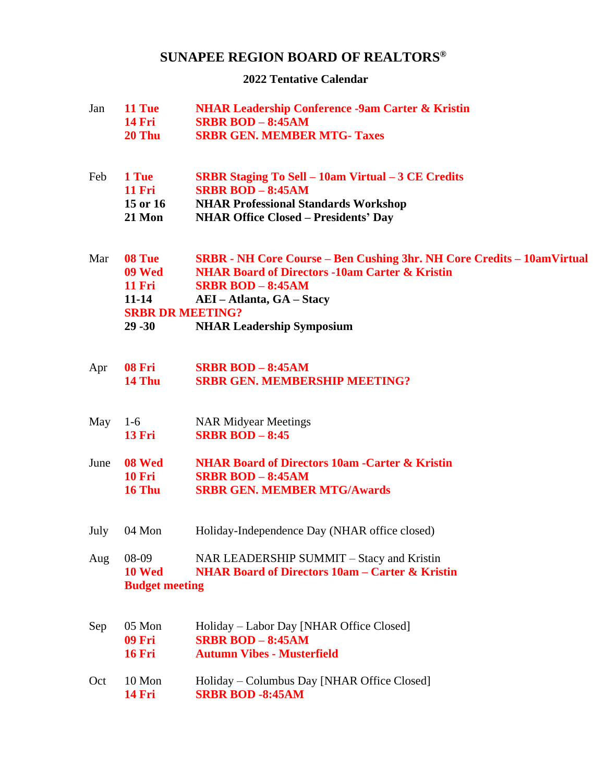## **SUNAPEE REGION BOARD OF REALTORS®**

## **2022 Tentative Calendar**

| Jan  | 11 Tue<br><b>14 Fri</b><br>20 Thu                           | <b>NHAR Leadership Conference -9am Carter &amp; Kristin</b><br><b>SRBR BOD - 8:45AM</b><br><b>SRBR GEN. MEMBER MTG- Taxes</b>                                                                                                                                      |
|------|-------------------------------------------------------------|--------------------------------------------------------------------------------------------------------------------------------------------------------------------------------------------------------------------------------------------------------------------|
| Feb  | 1 Tue<br><b>11 Fri</b><br>15 or 16<br>21 Mon                | <b>SRBR Staging To Sell - 10am Virtual - 3 CE Credits</b><br><b>SRBR BOD - 8:45AM</b><br><b>NHAR Professional Standards Workshop</b><br><b>NHAR Office Closed – Presidents' Day</b>                                                                                |
| Mar  | 08 Tue<br>09 Wed<br><b>11 Fri</b><br>$11 - 14$<br>$29 - 30$ | <b>SRBR</b> - NH Core Course – Ben Cushing 3hr. NH Core Credits – 10amVirtual<br><b>NHAR Board of Directors -10am Carter &amp; Kristin</b><br><b>SRBR BOD - 8:45AM</b><br>AEI – Atlanta, GA – Stacy<br><b>SRBR DR MEETING?</b><br><b>NHAR Leadership Symposium</b> |
| Apr  | 08 Fri<br>14 Thu                                            | <b>SRBR BOD - 8:45AM</b><br><b>SRBR GEN. MEMBERSHIP MEETING?</b>                                                                                                                                                                                                   |
| May  | $1-6$<br><b>13 Fri</b>                                      | <b>NAR Midyear Meetings</b><br><b>SRBR BOD - 8:45</b>                                                                                                                                                                                                              |
| June | 08 Wed<br><b>10 Fri</b><br>16 Thu                           | <b>NHAR Board of Directors 10am -Carter &amp; Kristin</b><br><b>SRBR BOD - 8:45AM</b><br><b>SRBR GEN. MEMBER MTG/Awards</b>                                                                                                                                        |
| July | 04 Mon                                                      | Holiday-Independence Day (NHAR office closed)                                                                                                                                                                                                                      |
| Aug  | 08-09<br>10 Wed<br><b>Budget meeting</b>                    | NAR LEADERSHIP SUMMIT – Stacy and Kristin<br><b>NHAR Board of Directors 10am – Carter &amp; Kristin</b>                                                                                                                                                            |
| Sep  | 05 Mon<br><b>09 Fri</b><br><b>16 Fri</b>                    | Holiday – Labor Day [NHAR Office Closed]<br><b>SRBR BOD - 8:45AM</b><br><b>Autumn Vibes - Musterfield</b>                                                                                                                                                          |
| Oct  | 10 Mon<br><b>14 Fri</b>                                     | Holiday – Columbus Day [NHAR Office Closed]<br><b>SRBR BOD -8:45AM</b>                                                                                                                                                                                             |